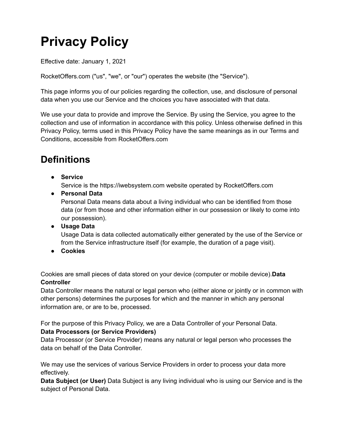# **Privacy Policy**

Effective date: January 1, 2021

RocketOffers.com ("us", "we", or "our") operates the website (the "Service").

This page informs you of our policies regarding the collection, use, and disclosure of personal data when you use our Service and the choices you have associated with that data.

We use your data to provide and improve the Service. By using the Service, you agree to the collection and use of information in accordance with this policy. Unless otherwise defined in this Privacy Policy, terms used in this Privacy Policy have the same meanings as in our Terms and Conditions, accessible from RocketOffers.com

# **Definitions**

● **Service**

Service is the https://iwebsystem.com website operated by RocketOffers.com

● **Personal Data**

Personal Data means data about a living individual who can be identified from those data (or from those and other information either in our possession or likely to come into our possession).

● **Usage Data**

Usage Data is data collected automatically either generated by the use of the Service or from the Service infrastructure itself (for example, the duration of a page visit).

● **Cookies**

Cookies are small pieces of data stored on your device (computer or mobile device).**Data Controller**

Data Controller means the natural or legal person who (either alone or jointly or in common with other persons) determines the purposes for which and the manner in which any personal information are, or are to be, processed.

For the purpose of this Privacy Policy, we are a Data Controller of your Personal Data.

#### **Data Processors (or Service Providers)**

Data Processor (or Service Provider) means any natural or legal person who processes the data on behalf of the Data Controller.

We may use the services of various Service Providers in order to process your data more effectively.

**Data Subject (or User)** Data Subject is any living individual who is using our Service and is the subject of Personal Data.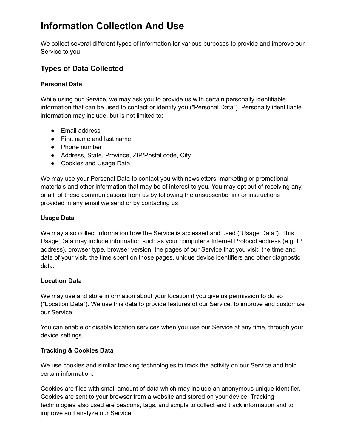## **Information Collection And Use**

We collect several different types of information for various purposes to provide and improve our Service to you.

### **Types of Data Collected**

#### **Personal Data**

While using our Service, we may ask you to provide us with certain personally identifiable information that can be used to contact or identify you ("Personal Data"). Personally identifiable information may include, but is not limited to:

- Email address
- First name and last name
- Phone number
- Address, State, Province, ZIP/Postal code, City
- Cookies and Usage Data

We may use your Personal Data to contact you with newsletters, marketing or promotional materials and other information that may be of interest to you. You may opt out of receiving any, or all, of these communications from us by following the unsubscribe link or instructions provided in any email we send or by contacting us.

#### **Usage Data**

We may also collect information how the Service is accessed and used ("Usage Data"). This Usage Data may include information such as your computer's Internet Protocol address (e.g. IP address), browser type, browser version, the pages of our Service that you visit, the time and date of your visit, the time spent on those pages, unique device identifiers and other diagnostic data.

#### **Location Data**

We may use and store information about your location if you give us permission to do so ("Location Data"). We use this data to provide features of our Service, to improve and customize our Service.

You can enable or disable location services when you use our Service at any time, through your device settings.

#### **Tracking & Cookies Data**

We use cookies and similar tracking technologies to track the activity on our Service and hold certain information.

Cookies are files with small amount of data which may include an anonymous unique identifier. Cookies are sent to your browser from a website and stored on your device. Tracking technologies also used are beacons, tags, and scripts to collect and track information and to improve and analyze our Service.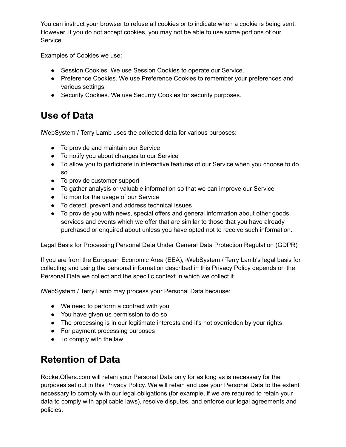You can instruct your browser to refuse all cookies or to indicate when a cookie is being sent. However, if you do not accept cookies, you may not be able to use some portions of our Service.

Examples of Cookies we use:

- Session Cookies. We use Session Cookies to operate our Service.
- Preference Cookies. We use Preference Cookies to remember your preferences and various settings.
- Security Cookies. We use Security Cookies for security purposes.

# **Use of Data**

iWebSystem / Terry Lamb uses the collected data for various purposes:

- To provide and maintain our Service
- To notify you about changes to our Service
- To allow you to participate in interactive features of our Service when you choose to do so
- To provide customer support
- To gather analysis or valuable information so that we can improve our Service
- To monitor the usage of our Service
- To detect, prevent and address technical issues
- To provide you with news, special offers and general information about other goods, services and events which we offer that are similar to those that you have already purchased or enquired about unless you have opted not to receive such information.

Legal Basis for Processing Personal Data Under General Data Protection Regulation (GDPR)

If you are from the European Economic Area (EEA), iWebSystem / Terry Lamb's legal basis for collecting and using the personal information described in this Privacy Policy depends on the Personal Data we collect and the specific context in which we collect it.

iWebSystem / Terry Lamb may process your Personal Data because:

- We need to perform a contract with you
- You have given us permission to do so
- The processing is in our legitimate interests and it's not overridden by your rights
- For payment processing purposes
- To comply with the law

### **Retention of Data**

RocketOffers.com will retain your Personal Data only for as long as is necessary for the purposes set out in this Privacy Policy. We will retain and use your Personal Data to the extent necessary to comply with our legal obligations (for example, if we are required to retain your data to comply with applicable laws), resolve disputes, and enforce our legal agreements and policies.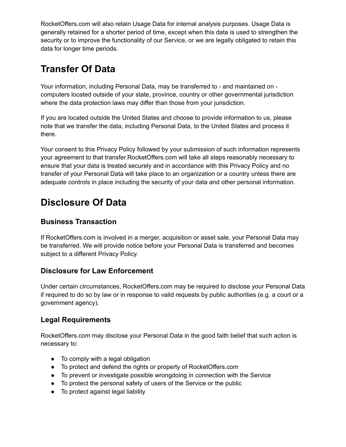RocketOffers.com will also retain Usage Data for internal analysis purposes. Usage Data is generally retained for a shorter period of time, except when this data is used to strengthen the security or to improve the functionality of our Service, or we are legally obligated to retain this data for longer time periods.

# **Transfer Of Data**

Your information, including Personal Data, may be transferred to - and maintained on computers located outside of your state, province, country or other governmental jurisdiction where the data protection laws may differ than those from your jurisdiction.

If you are located outside the United States and choose to provide information to us, please note that we transfer the data, including Personal Data, to the United States and process it there.

Your consent to this Privacy Policy followed by your submission of such information represents your agreement to that transfer.RocketOffers.com will take all steps reasonably necessary to ensure that your data is treated securely and in accordance with this Privacy Policy and no transfer of your Personal Data will take place to an organization or a country unless there are adequate controls in place including the security of your data and other personal information.

# **Disclosure Of Data**

### **Business Transaction**

If RocketOffers.com is involved in a merger, acquisition or asset sale, your Personal Data may be transferred. We will provide notice before your Personal Data is transferred and becomes subject to a different Privacy Policy.

### **Disclosure for Law Enforcement**

Under certain circumstances, RocketOffers.com may be required to disclose your Personal Data if required to do so by law or in response to valid requests by public authorities (e.g. a court or a government agency).

### **Legal Requirements**

RocketOffers.com may disclose your Personal Data in the good faith belief that such action is necessary to:

- To comply with a legal obligation
- To protect and defend the rights or property of RocketOffers.com
- To prevent or investigate possible wrongdoing in connection with the Service
- To protect the personal safety of users of the Service or the public
- To protect against legal liability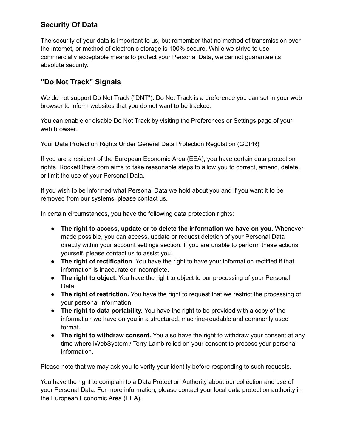### **Security Of Data**

The security of your data is important to us, but remember that no method of transmission over the Internet, or method of electronic storage is 100% secure. While we strive to use commercially acceptable means to protect your Personal Data, we cannot guarantee its absolute security.

### **"Do Not Track" Signals**

We do not support Do Not Track ("DNT"). Do Not Track is a preference you can set in your web browser to inform websites that you do not want to be tracked.

You can enable or disable Do Not Track by visiting the Preferences or Settings page of your web browser.

Your Data Protection Rights Under General Data Protection Regulation (GDPR)

If you are a resident of the European Economic Area (EEA), you have certain data protection rights. RocketOffers.com aims to take reasonable steps to allow you to correct, amend, delete, or limit the use of your Personal Data.

If you wish to be informed what Personal Data we hold about you and if you want it to be removed from our systems, please contact us.

In certain circumstances, you have the following data protection rights:

- **The right to access, update or to delete the information we have on you.** Whenever made possible, you can access, update or request deletion of your Personal Data directly within your account settings section. If you are unable to perform these actions yourself, please contact us to assist you.
- **The right of rectification.** You have the right to have your information rectified if that information is inaccurate or incomplete.
- **The right to object.** You have the right to object to our processing of your Personal Data.
- **The right of restriction.** You have the right to request that we restrict the processing of your personal information.
- **The right to data portability.** You have the right to be provided with a copy of the information we have on you in a structured, machine-readable and commonly used format.
- **The right to withdraw consent.** You also have the right to withdraw your consent at any time where iWebSystem / Terry Lamb relied on your consent to process your personal information.

Please note that we may ask you to verify your identity before responding to such requests.

You have the right to complain to a Data Protection Authority about our collection and use of your Personal Data. For more information, please contact your local data protection authority in the European Economic Area (EEA).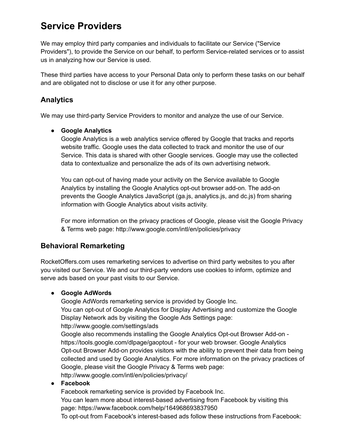### **Service Providers**

We may employ third party companies and individuals to facilitate our Service ("Service Providers"), to provide the Service on our behalf, to perform Service-related services or to assist us in analyzing how our Service is used.

These third parties have access to your Personal Data only to perform these tasks on our behalf and are obligated not to disclose or use it for any other purpose.

### **Analytics**

We may use third-party Service Providers to monitor and analyze the use of our Service.

#### ● **Google Analytics**

Google Analytics is a web analytics service offered by Google that tracks and reports website traffic. Google uses the data collected to track and monitor the use of our Service. This data is shared with other Google services. Google may use the collected data to contextualize and personalize the ads of its own advertising network.

You can opt-out of having made your activity on the Service available to Google Analytics by installing the Google Analytics opt-out browser add-on. The add-on prevents the Google Analytics JavaScript (ga.js, analytics.js, and dc.js) from sharing information with Google Analytics about visits activity.

For more information on the privacy practices of Google, please visit the Google Privacy & Terms web page: http://www.google.com/intl/en/policies/privacy

#### **Behavioral Remarketing**

RocketOffers.com uses remarketing services to advertise on third party websites to you after you visited our Service. We and our third-party vendors use cookies to inform, optimize and serve ads based on your past visits to our Service.

#### ● **Google AdWords**

Google AdWords remarketing service is provided by Google Inc. You can opt-out of Google Analytics for Display Advertising and customize the Google Display Network ads by visiting the Google Ads Settings page: http://www.google.com/settings/ads

Google also recommends installing the Google Analytics Opt-out Browser Add-on https://tools.google.com/dlpage/gaoptout - for your web browser. Google Analytics Opt-out Browser Add-on provides visitors with the ability to prevent their data from being collected and used by Google Analytics. For more information on the privacy practices of Google, please visit the Google Privacy & Terms web page: http://www.google.com/intl/en/policies/privacy/

#### ● **Facebook**

Facebook remarketing service is provided by Facebook Inc.

You can learn more about interest-based advertising from Facebook by visiting this page: https://www.facebook.com/help/164968693837950

To opt-out from Facebook's interest-based ads follow these instructions from Facebook: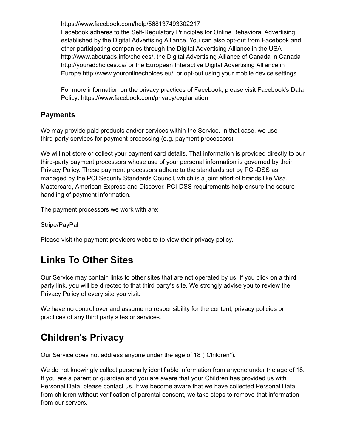https://www.facebook.com/help/568137493302217

Facebook adheres to the Self-Regulatory Principles for Online Behavioral Advertising established by the Digital Advertising Alliance. You can also opt-out from Facebook and other participating companies through the Digital Advertising Alliance in the USA http://www.aboutads.info/choices/, the Digital Advertising Alliance of Canada in Canada http://youradchoices.ca/ or the European Interactive Digital Advertising Alliance in Europe http://www.youronlinechoices.eu/, or opt-out using your mobile device settings.

For more information on the privacy practices of Facebook, please visit Facebook's Data Policy: https://www.facebook.com/privacy/explanation

### **Payments**

We may provide paid products and/or services within the Service. In that case, we use third-party services for payment processing (e.g. payment processors).

We will not store or collect your payment card details. That information is provided directly to our third-party payment processors whose use of your personal information is governed by their Privacy Policy. These payment processors adhere to the standards set by PCI-DSS as managed by the PCI Security Standards Council, which is a joint effort of brands like Visa, Mastercard, American Express and Discover. PCI-DSS requirements help ensure the secure handling of payment information.

The payment processors we work with are:

Stripe/PayPal

Please visit the payment providers website to view their privacy policy.

# **Links To Other Sites**

Our Service may contain links to other sites that are not operated by us. If you click on a third party link, you will be directed to that third party's site. We strongly advise you to review the Privacy Policy of every site you visit.

We have no control over and assume no responsibility for the content, privacy policies or practices of any third party sites or services.

## **Children's Privacy**

Our Service does not address anyone under the age of 18 ("Children").

We do not knowingly collect personally identifiable information from anyone under the age of 18. If you are a parent or guardian and you are aware that your Children has provided us with Personal Data, please contact us. If we become aware that we have collected Personal Data from children without verification of parental consent, we take steps to remove that information from our servers.